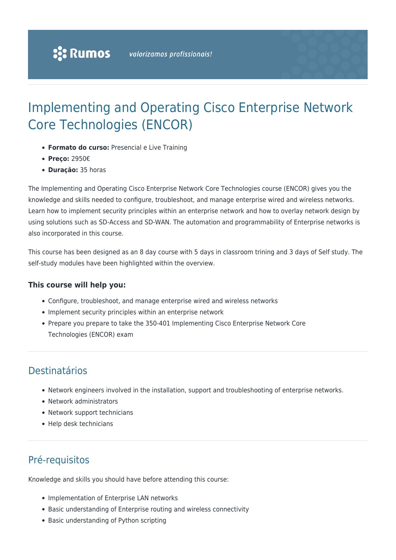# Implementing and Operating Cisco Enterprise Network Core Technologies (ENCOR)

- **Formato do curso:** Presencial e Live Training
- **Preço:** 2950€
- **Duração:** 35 horas

The Implementing and Operating Cisco Enterprise Network Core Technologies course (ENCOR) gives you the knowledge and skills needed to configure, troubleshoot, and manage enterprise wired and wireless networks. Learn how to implement security principles within an enterprise network and how to overlay network design by using solutions such as SD-Access and SD-WAN. The automation and programmability of Enterprise networks is also incorporated in this course.

This course has been designed as an 8 day course with 5 days in classroom trining and 3 days of Self study. The self-study modules have been highlighted within the overview.

#### **This course will help you:**

- Configure, troubleshoot, and manage enterprise wired and wireless networks
- Implement security principles within an enterprise network
- Prepare you prepare to take the 350-401 Implementing Cisco Enterprise Network Core Technologies (ENCOR) exam

# Destinatários

- Network engineers involved in the installation, support and troubleshooting of enterprise networks.
- Network administrators
- Network support technicians
- Help desk technicians

# Pré-requisitos

Knowledge and skills you should have before attending this course:

- Implementation of Enterprise LAN networks
- Basic understanding of Enterprise routing and wireless connectivity
- Basic understanding of Python scripting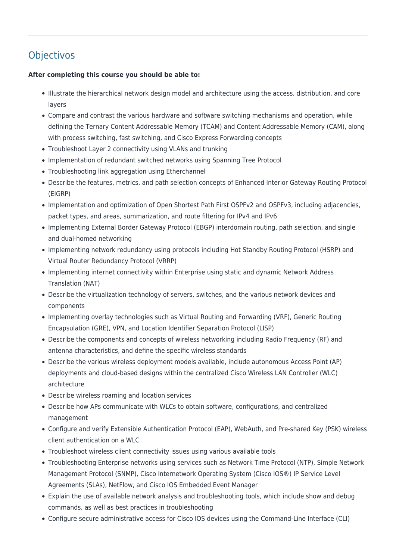# **Objectivos**

#### **After completing this course you should be able to:**

- Illustrate the hierarchical network design model and architecture using the access, distribution, and core layers
- Compare and contrast the various hardware and software switching mechanisms and operation, while defining the Ternary Content Addressable Memory (TCAM) and Content Addressable Memory (CAM), along with process switching, fast switching, and Cisco Express Forwarding concepts
- Troubleshoot Layer 2 connectivity using VLANs and trunking
- Implementation of redundant switched networks using Spanning Tree Protocol
- Troubleshooting link aggregation using Etherchannel
- Describe the features, metrics, and path selection concepts of Enhanced Interior Gateway Routing Protocol (EIGRP)
- Implementation and optimization of Open Shortest Path First OSPFv2 and OSPFv3, including adjacencies, packet types, and areas, summarization, and route filtering for IPv4 and IPv6
- Implementing External Border Gateway Protocol (EBGP) interdomain routing, path selection, and single and dual-homed networking
- Implementing network redundancy using protocols including Hot Standby Routing Protocol (HSRP) and Virtual Router Redundancy Protocol (VRRP)
- Implementing internet connectivity within Enterprise using static and dynamic Network Address Translation (NAT)
- Describe the virtualization technology of servers, switches, and the various network devices and components
- Implementing overlay technologies such as Virtual Routing and Forwarding (VRF), Generic Routing Encapsulation (GRE), VPN, and Location Identifier Separation Protocol (LISP)
- Describe the components and concepts of wireless networking including Radio Frequency (RF) and antenna characteristics, and define the specific wireless standards
- Describe the various wireless deployment models available, include autonomous Access Point (AP) deployments and cloud-based designs within the centralized Cisco Wireless LAN Controller (WLC) architecture
- Describe wireless roaming and location services
- Describe how APs communicate with WLCs to obtain software, configurations, and centralized management
- Configure and verify Extensible Authentication Protocol (EAP), WebAuth, and Pre-shared Key (PSK) wireless client authentication on a WLC
- Troubleshoot wireless client connectivity issues using various available tools
- Troubleshooting Enterprise networks using services such as Network Time Protocol (NTP), Simple Network Management Protocol (SNMP), Cisco Internetwork Operating System (Cisco IOS®) IP Service Level Agreements (SLAs), NetFlow, and Cisco IOS Embedded Event Manager
- Explain the use of available network analysis and troubleshooting tools, which include show and debug commands, as well as best practices in troubleshooting
- Configure secure administrative access for Cisco IOS devices using the Command-Line Interface (CLI)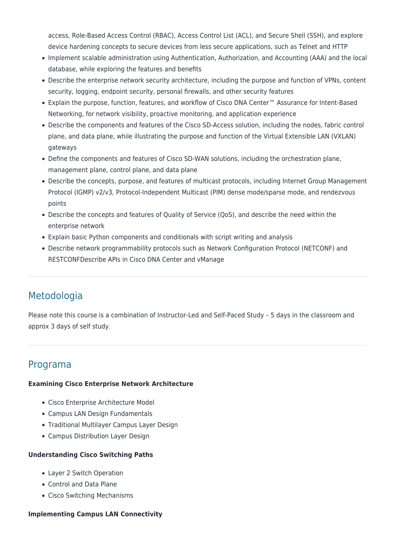access, Role-Based Access Control (RBAC), Access Control List (ACL), and Secure Shell (SSH), and explore device hardening concepts to secure devices from less secure applications, such as Telnet and HTTP

- Implement scalable administration using Authentication, Authorization, and Accounting (AAA) and the local database, while exploring the features and benefits
- Describe the enterprise network security architecture, including the purpose and function of VPNs, content security, logging, endpoint security, personal firewalls, and other security features
- Explain the purpose, function, features, and workflow of Cisco DNA Center™ Assurance for Intent-Based Networking, for network visibility, proactive monitoring, and application experience
- Describe the components and features of the Cisco SD-Access solution, including the nodes, fabric control plane, and data plane, while illustrating the purpose and function of the Virtual Extensible LAN (VXLAN) gateways
- Define the components and features of Cisco SD-WAN solutions, including the orchestration plane, management plane, control plane, and data plane
- Describe the concepts, purpose, and features of multicast protocols, including Internet Group Management Protocol (IGMP) v2/v3, Protocol-Independent Multicast (PIM) dense mode/sparse mode, and rendezvous points
- Describe the concepts and features of Quality of Service (QoS), and describe the need within the enterprise network
- Explain basic Python components and conditionals with script writing and analysis
- Describe network programmability protocols such as Network Configuration Protocol (NETCONF) and RESTCONFDescribe APIs in Cisco DNA Center and vManage

# Metodologia

Please note this course is a combination of Instructor-Led and Self-Paced Study – 5 days in the classroom and approx 3 days of self study.

### Programa

#### **Examining Cisco Enterprise Network Architecture**

- Cisco Enterprise Architecture Model
- Campus LAN Design Fundamentals
- Traditional Multilayer Campus Layer Design
- Campus Distribution Layer Design

#### **Understanding Cisco Switching Paths**

- Layer 2 Switch Operation
- Control and Data Plane
- Cisco Switching Mechanisms

#### **Implementing Campus LAN Connectivity**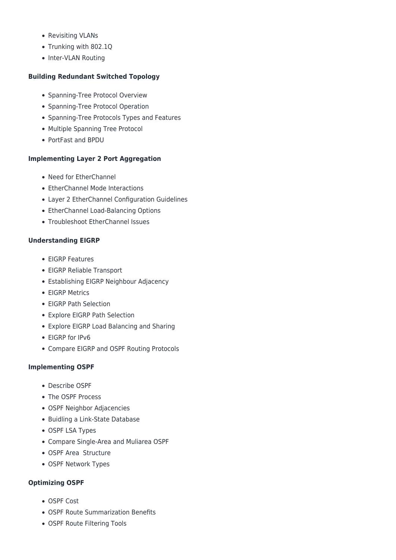- Revisiting VLANs
- Trunking with 802.1Q
- Inter-VLAN Routing

#### **Building Redundant Switched Topology**

- Spanning-Tree Protocol Overview
- Spanning-Tree Protocol Operation
- Spanning-Tree Protocols Types and Features
- Multiple Spanning Tree Protocol
- PortFast and BPDU

#### **Implementing Layer 2 Port Aggregation**

- Need for EtherChannel
- EtherChannel Mode Interactions
- Layer 2 EtherChannel Configuration Guidelines
- EtherChannel Load-Balancing Options
- Troubleshoot EtherChannel Issues

#### **Understanding EIGRP**

- EIGRP Features
- EIGRP Reliable Transport
- Establishing EIGRP Neighbour Adjacency
- EIGRP Metrics
- EIGRP Path Selection
- Explore EIGRP Path Selection
- Explore EIGRP Load Balancing and Sharing
- EIGRP for IPv6
- Compare EIGRP and OSPF Routing Protocols

#### **Implementing OSPF**

- Describe OSPF
- The OSPF Process
- OSPF Neighbor Adjacencies
- Buidling a Link-State Database
- OSPF LSA Types
- Compare Single-Area and Muliarea OSPF
- OSPF Area Structure
- OSPF Network Types

#### **Optimizing OSPF**

- OSPF Cost
- OSPF Route Summarization Benefits
- OSPF Route Filtering Tools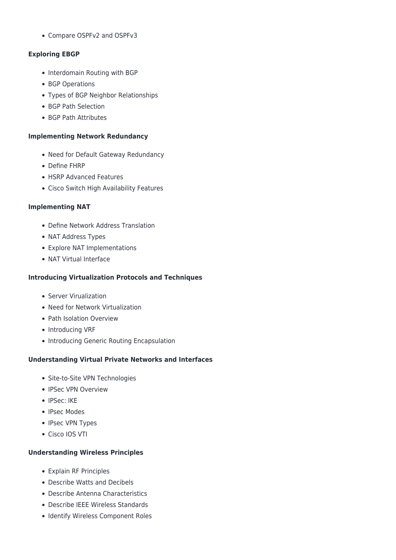Compare OSPFv2 and OSPFv3

#### **Exploring EBGP**

- Interdomain Routing with BGP
- BGP Operations
- Types of BGP Neighbor Relationships
- BGP Path Selection
- BGP Path Attributes

#### **Implementing Network Redundancy**

- Need for Default Gateway Redundancy
- Define FHRP
- HSRP Advanced Features
- Cisco Switch High Availability Features

#### **Implementing NAT**

- Define Network Address Translation
- NAT Address Types
- Explore NAT Implementations
- NAT Virtual Interface

#### **Introducing Virtualization Protocols and Techniques**

- Server Virualization
- Need for Network Virtualization
- Path Isolation Overview
- Introducing VRF
- Introducing Generic Routing Encapsulation

#### **Understanding Virtual Private Networks and Interfaces**

- Site-to-Site VPN Technologies
- IPSec VPN Overview
- IPSec: IKE
- IPsec Modes
- IPsec VPN Types
- Cisco IOS VTI

#### **Understanding Wireless Principles**

- Explain RF Principles
- Describe Watts and Decibels
- Describe Antenna Characteristics
- Describe IEEE Wireless Standards
- Identify Wireless Component Roles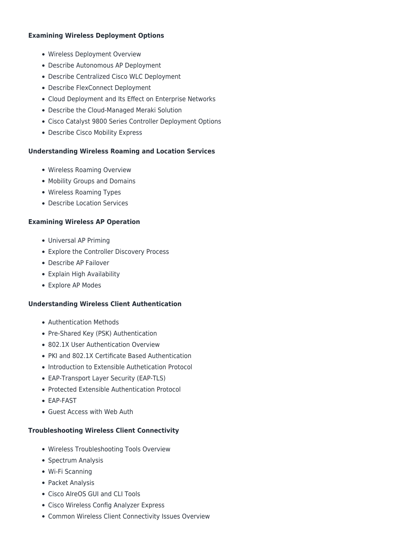#### **Examining Wireless Deployment Options**

- Wireless Deployment Overview
- Describe Autonomous AP Deployment
- Describe Centralized Cisco WLC Deployment
- Describe FlexConnect Deployment
- Cloud Deployment and Its Effect on Enterprise Networks
- Describe the Cloud-Managed Meraki Solution
- Cisco Catalyst 9800 Series Controller Deployment Options
- Describe Cisco Mobility Express

#### **Understanding Wireless Roaming and Location Services**

- Wireless Roaming Overview
- Mobility Groups and Domains
- Wireless Roaming Types
- Describe Location Services

#### **Examining Wireless AP Operation**

- Universal AP Priming
- Explore the Controller Discovery Process
- Describe AP Failover
- Explain High Availability
- Explore AP Modes

#### **Understanding Wireless Client Authentication**

- Authentication Methods
- Pre-Shared Key (PSK) Authentication
- 802.1X User Authentication Overview
- PKI and 802.1X Certificate Based Authentication
- Introduction to Extensible Authetication Protocol
- EAP-Transport Layer Security (EAP-TLS)
- Protected Extensible Authentication Protocol
- EAP-FAST
- Guest Access with Web Auth

#### **Troubleshooting Wireless Client Connectivity**

- Wireless Troubleshooting Tools Overview
- Spectrum Analysis
- Wi-Fi Scanning
- Packet Analysis
- Cisco AlreOS GUI and CLI Tools
- Cisco Wireless Config Analyzer Express
- Common Wireless Client Connectivity Issues Overview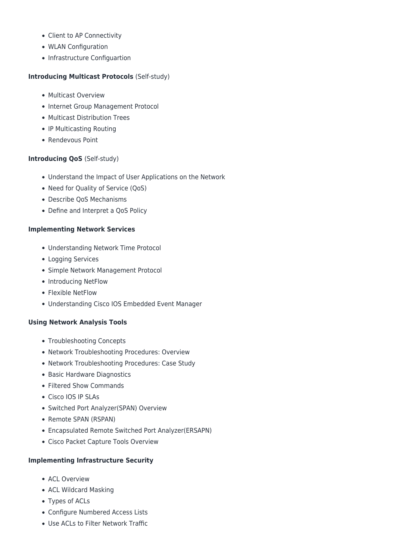- Client to AP Connectivity
- WLAN Configuration
- Infrastructure Configuartion

#### **Introducing Multicast Protocols** (Self-study)

- Multicast Overview
- Internet Group Management Protocol
- Multicast Distribution Trees
- IP Multicasting Routing
- Rendevous Point

#### **Introducing QoS** (Self-study)

- Understand the Impact of User Applications on the Network
- Need for Quality of Service (QoS)
- Describe QoS Mechanisms
- Define and Interpret a QoS Policy

#### **Implementing Network Services**

- Understanding Network Time Protocol
- Logging Services
- Simple Network Management Protocol
- Introducing NetFlow
- Flexible NetFlow
- Understanding Cisco IOS Embedded Event Manager

#### **Using Network Analysis Tools**

- Troubleshooting Concepts
- Network Troubleshooting Procedures: Overview
- Network Troubleshooting Procedures: Case Study
- Basic Hardware Diagnostics
- Filtered Show Commands
- Cisco IOS IP SLAs
- Switched Port Analyzer(SPAN) Overview
- Remote SPAN (RSPAN)
- Encapsulated Remote Switched Port Analyzer(ERSAPN)
- Cisco Packet Capture Tools Overview

#### **Implementing Infrastructure Security**

- ACL Overview
- ACL Wildcard Masking
- Types of ACLs
- Configure Numbered Access Lists
- Use ACLs to Filter Network Traffic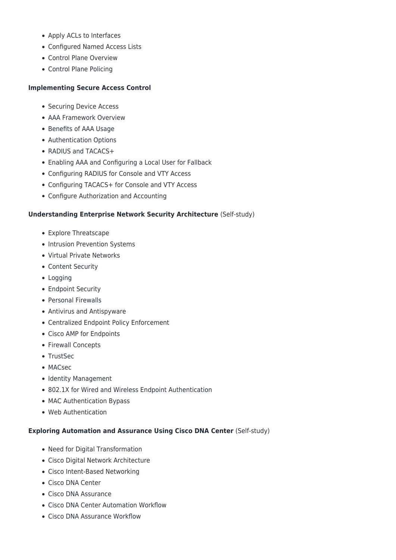- Apply ACLs to Interfaces
- Configured Named Access Lists
- Control Plane Overview
- Control Plane Policing

#### **Implementing Secure Access Control**

- Securing Device Access
- AAA Framework Overview
- Benefits of AAA Usage
- Authentication Options
- RADIUS and TACACS+
- Enabling AAA and Configuring a Local User for Fallback
- Configuring RADIUS for Console and VTY Access
- Configuring TACACS+ for Console and VTY Access
- Configure Authorization and Accounting

#### **Understanding Enterprise Network Security Architecture (Self-study)**

- Explore Threatscape
- Intrusion Prevention Systems
- Virtual Private Networks
- Content Security
- Logging
- Endpoint Security
- Personal Firewalls
- Antivirus and Antispyware
- Centralized Endpoint Policy Enforcement
- Cisco AMP for Endpoints
- Firewall Concepts
- TrustSec
- MACsec
- Identity Management
- 802.1X for Wired and Wireless Endpoint Authentication
- MAC Authentication Bypass
- Web Authentication

#### **Exploring Automation and Assurance Using Cisco DNA Center** (Self-study)

- Need for Digital Transformation
- Cisco Digital Network Architecture
- Cisco Intent-Based Networking
- Cisco DNA Center
- Cisco DNA Assurance
- Cisco DNA Center Automation Workflow
- Cisco DNA Assurance Workflow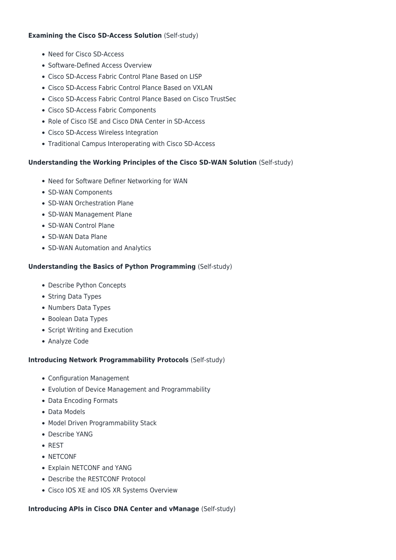#### **Examining the Cisco SD-Access Solution** (Self-study)

- Need for Cisco SD-Access
- Software-Defined Access Overview
- Cisco SD-Access Fabric Control Plane Based on LISP
- Cisco SD-Access Fabric Control Plance Based on VXLAN
- Cisco SD-Access Fabric Control Plance Based on Cisco TrustSec
- Cisco SD-Access Fabric Components
- Role of Cisco ISE and Cisco DNA Center in SD-Access
- Cisco SD-Access Wireless Integration
- Traditional Campus Interoperating with Cisco SD-Access

#### **Understanding the Working Principles of the Cisco SD-WAN Solution** (Self-study)

- Need for Software Definer Networking for WAN
- SD-WAN Components
- SD-WAN Orchestration Plane
- SD-WAN Management Plane
- SD-WAN Control Plane
- SD-WAN Data Plane
- SD-WAN Automation and Analytics

#### **Understanding the Basics of Python Programming** (Self-study)

- Describe Python Concepts
- String Data Types
- Numbers Data Types
- Boolean Data Types
- Script Writing and Execution
- Analyze Code

#### **Introducing Network Programmability Protocols** (Self-study)

- Configuration Management
- Evolution of Device Management and Programmability
- Data Encoding Formats
- Data Models
- Model Driven Programmability Stack
- Describe YANG
- REST
- NETCONF
- Explain NETCONF and YANG
- Describe the RESTCONF Protocol
- Cisco IOS XE and IOS XR Systems Overview

#### **Introducing APIs in Cisco DNA Center and vManage** (Self-study)